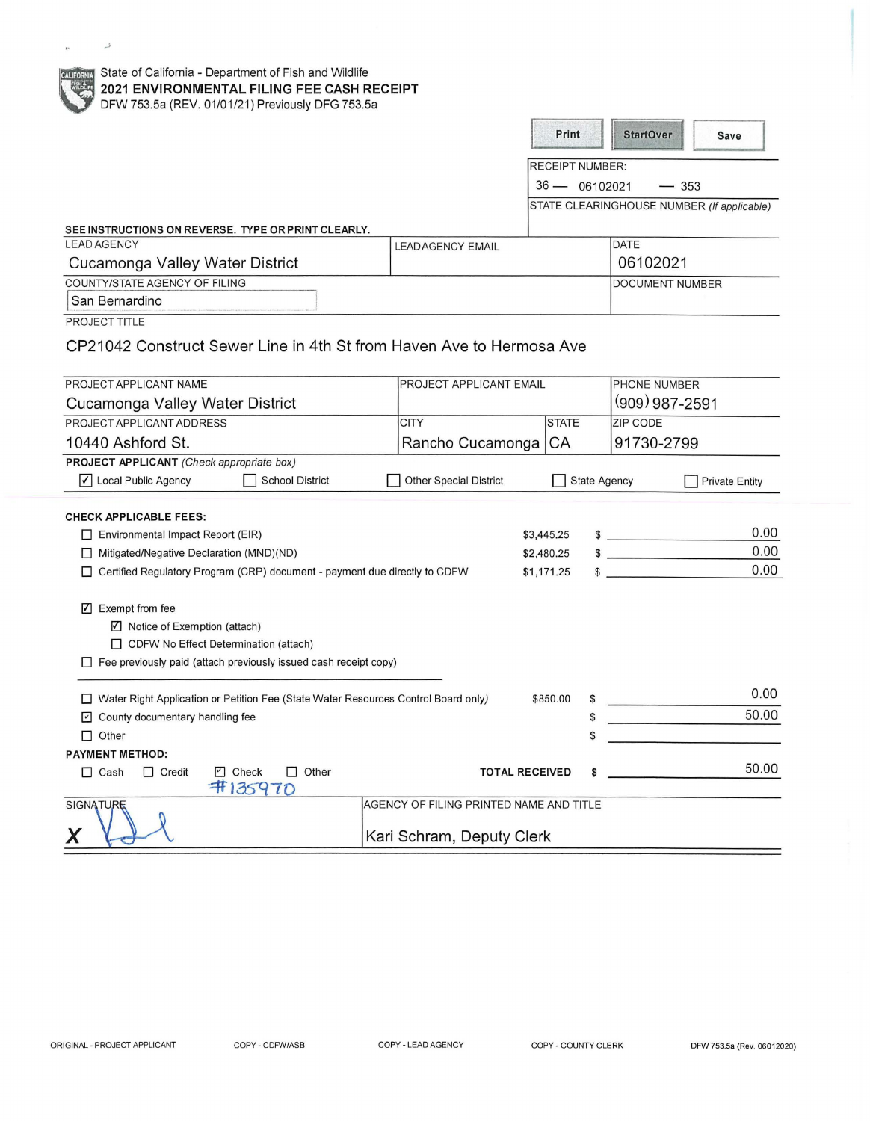| State of California - Department of Fish and Wildlife<br><b>CALIFORNIA</b><br><b>SHA</b><br>2021 ENVIRONMENTAL FILING FEE CASH RECEIPT<br>DFW 753.5a (REV. 01/01/21) Previously DFG 753.5a |                                         |                                           |                                   |                                                      |
|--------------------------------------------------------------------------------------------------------------------------------------------------------------------------------------------|-----------------------------------------|-------------------------------------------|-----------------------------------|------------------------------------------------------|
|                                                                                                                                                                                            |                                         | Print                                     | <b>StartOver</b>                  | Save                                                 |
|                                                                                                                                                                                            |                                         |                                           |                                   |                                                      |
|                                                                                                                                                                                            |                                         | <b>RECEIPT NUMBER:</b><br>$36 - 06102021$ |                                   |                                                      |
|                                                                                                                                                                                            |                                         |                                           |                                   | $-353$<br>STATE CLEARINGHOUSE NUMBER (If applicable) |
|                                                                                                                                                                                            |                                         |                                           |                                   |                                                      |
| SEE INSTRUCTIONS ON REVERSE. TYPE OR PRINT CLEARLY.<br><b>LEAD AGENCY</b>                                                                                                                  | <b>LEADAGENCY EMAIL</b>                 |                                           | DATE                              |                                                      |
| Cucamonga Valley Water District                                                                                                                                                            |                                         |                                           | 06102021                          |                                                      |
| COUNTY/STATE AGENCY OF FILING                                                                                                                                                              |                                         |                                           |                                   | <b>DOCUMENT NUMBER</b>                               |
| San Bernardino                                                                                                                                                                             |                                         |                                           |                                   |                                                      |
| PROJECT TITLE                                                                                                                                                                              |                                         |                                           |                                   |                                                      |
| CP21042 Construct Sewer Line in 4th St from Haven Ave to Hermosa Ave                                                                                                                       |                                         |                                           |                                   |                                                      |
| PROJECT APPLICANT NAME                                                                                                                                                                     | <b>PROJECT APPLICANT EMAIL</b>          |                                           | <b>PHONE NUMBER</b>               |                                                      |
| Cucamonga Valley Water District                                                                                                                                                            |                                         |                                           | $(909)$ 987-2591                  |                                                      |
| PROJECT APPLICANT ADDRESS                                                                                                                                                                  | <b>CITY</b>                             | <b>STATE</b>                              | <b>ZIP CODE</b>                   |                                                      |
| 10440 Ashford St.                                                                                                                                                                          | Rancho Cucamonga                        | CA                                        | 91730-2799                        |                                                      |
| PROJECT APPLICANT (Check appropriate box)                                                                                                                                                  |                                         |                                           |                                   |                                                      |
| √ Local Public Agency<br><b>School District</b>                                                                                                                                            | <b>Other Special District</b>           |                                           | <b>State Agency</b>               | <b>Private Entity</b>                                |
|                                                                                                                                                                                            |                                         |                                           |                                   |                                                      |
| <b>CHECK APPLICABLE FEES:</b><br>Environmental Impact Report (EIR)                                                                                                                         |                                         | \$3,445.25                                | $\sim$                            | 0.00                                                 |
| Mitigated/Negative Declaration (MND)(ND)<br>П                                                                                                                                              |                                         | \$2,480.25                                | <b>Contract Contract Contract</b> | 0.00                                                 |
| Certified Regulatory Program (CRP) document - payment due directly to CDFW                                                                                                                 |                                         | \$1,171.25                                | \$                                | 0.00                                                 |
|                                                                                                                                                                                            |                                         |                                           |                                   |                                                      |
| $\nabla$ Exempt from fee                                                                                                                                                                   |                                         |                                           |                                   |                                                      |
| ☑ Notice of Exemption (attach)                                                                                                                                                             |                                         |                                           |                                   |                                                      |
| CDFW No Effect Determination (attach)                                                                                                                                                      |                                         |                                           |                                   |                                                      |
| Fee previously paid (attach previously issued cash receipt copy)                                                                                                                           |                                         |                                           |                                   |                                                      |
|                                                                                                                                                                                            |                                         |                                           |                                   | 0.00                                                 |
| □ Water Right Application or Petition Fee (State Water Resources Control Board only)                                                                                                       |                                         | \$850.00                                  |                                   | 50.00                                                |
| $\boxed{\cdot}$ County documentary handling fee                                                                                                                                            |                                         |                                           | \$                                |                                                      |
| $\Box$ Other<br><b>PAYMENT METHOD:</b>                                                                                                                                                     |                                         |                                           | \$                                |                                                      |
| $\Box$ Credit<br><b>2</b> Check<br>$\Box$ Other<br>$\Box$ Cash                                                                                                                             | <b>TOTAL RECEIVED</b>                   |                                           | S                                 | 50.00                                                |
| 7135970                                                                                                                                                                                    |                                         |                                           |                                   |                                                      |
| <b>SIGNATURE</b>                                                                                                                                                                           | AGENCY OF FILING PRINTED NAME AND TITLE |                                           |                                   |                                                      |
|                                                                                                                                                                                            |                                         |                                           |                                   |                                                      |
| X                                                                                                                                                                                          | Kari Schram, Deputy Clerk               |                                           |                                   |                                                      |

 $\mathbf{E}^{(i)}$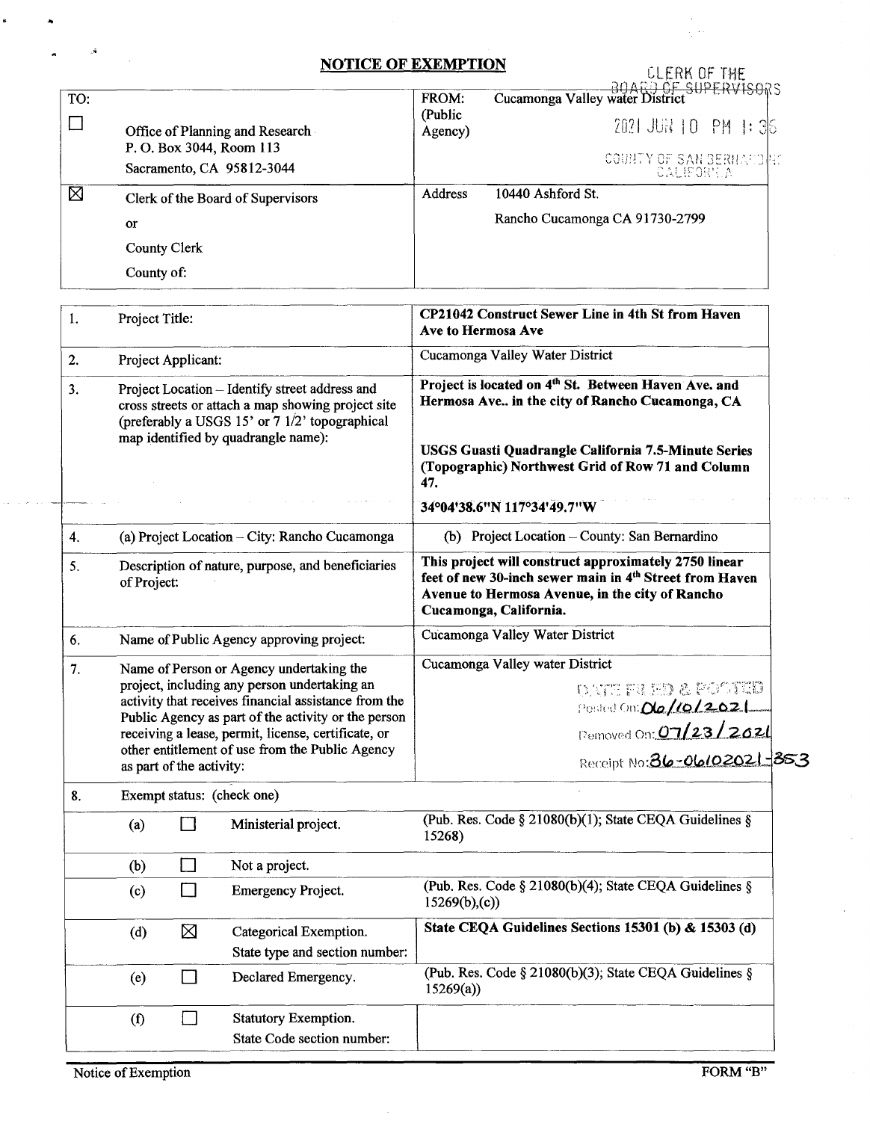## **NOTICE OF EXEMPTION**

|     |                                                             | <b>NOTICE OF EXEMPTION</b> | CLERK OF THE<br>BOARD OF SUPERVISORS<br>Cucamonga Valley water District |  |
|-----|-------------------------------------------------------------|----------------------------|-------------------------------------------------------------------------|--|
| TO: |                                                             | FROM:<br>(Public           |                                                                         |  |
|     | Office of Planning and Research<br>P. O. Box 3044, Room 113 | Agency)                    | 2021 JUR 10 PM 1: 36                                                    |  |
|     | Sacramento, CA 95812-3044                                   |                            | COUNTY OF SAN BERNACONS<br>CAUFORTIA                                    |  |
| ⊠   | Clerk of the Board of Supervisors                           | Address                    | 10440 Ashford St.                                                       |  |
|     | <b>or</b>                                                   |                            | Rancho Cucamonga CA 91730-2799                                          |  |
|     | County Clerk                                                |                            |                                                                         |  |
|     | County of:                                                  |                            |                                                                         |  |

| 1. | Project Title:                                                                                                                                                                                                                                                                                                                                |        |                                                          | CP21042 Construct Sewer Line in 4th St from Haven<br>Ave to Hermosa Ave                                                                                                                                                                |  |  |
|----|-----------------------------------------------------------------------------------------------------------------------------------------------------------------------------------------------------------------------------------------------------------------------------------------------------------------------------------------------|--------|----------------------------------------------------------|----------------------------------------------------------------------------------------------------------------------------------------------------------------------------------------------------------------------------------------|--|--|
| 2. | Project Applicant:                                                                                                                                                                                                                                                                                                                            |        |                                                          | Cucamonga Valley Water District                                                                                                                                                                                                        |  |  |
| 3. | Project Location - Identify street address and<br>cross streets or attach a map showing project site<br>(preferably a USGS 15' or 7 1/2' topographical<br>map identified by quadrangle name):                                                                                                                                                 |        |                                                          | Project is located on 4 <sup>th</sup> St. Between Haven Ave. and<br>Hermosa Ave in the city of Rancho Cucamonga, CA<br>USGS Guasti Quadrangle California 7.5-Minute Series<br>(Topographic) Northwest Grid of Row 71 and Column<br>47. |  |  |
|    |                                                                                                                                                                                                                                                                                                                                               |        |                                                          | 34°04'38.6"N 117°34'49.7"W                                                                                                                                                                                                             |  |  |
| 4. | (a) Project Location - City: Rancho Cucamonga                                                                                                                                                                                                                                                                                                 |        |                                                          | (b) Project Location - County: San Bernardino                                                                                                                                                                                          |  |  |
| 5. | Description of nature, purpose, and beneficiaries<br>of Project:                                                                                                                                                                                                                                                                              |        |                                                          | This project will construct approximately 2750 linear<br>feet of new 30-inch sewer main in 4th Street from Haven<br>Avenue to Hermosa Avenue, in the city of Rancho<br>Cucamonga, California.                                          |  |  |
| 6. | Name of Public Agency approving project:                                                                                                                                                                                                                                                                                                      |        |                                                          | Cucamonga Valley Water District                                                                                                                                                                                                        |  |  |
| 7. | Name of Person or Agency undertaking the<br>project, including any person undertaking an<br>activity that receives financial assistance from the<br>Public Agency as part of the activity or the person<br>receiving a lease, permit, license, certificate, or<br>other entitlement of use from the Public Agency<br>as part of the activity: |        |                                                          | Cucamonga Valley water District                                                                                                                                                                                                        |  |  |
|    |                                                                                                                                                                                                                                                                                                                                               |        |                                                          | onte pa ho a pobitid<br>Posted On: Ola/10/2021                                                                                                                                                                                         |  |  |
|    |                                                                                                                                                                                                                                                                                                                                               |        |                                                          | Pemoved On: 07/23/2021                                                                                                                                                                                                                 |  |  |
|    |                                                                                                                                                                                                                                                                                                                                               |        |                                                          | Receipt No: 36-06/02021-353                                                                                                                                                                                                            |  |  |
| 8. | Exempt status: (check one)                                                                                                                                                                                                                                                                                                                    |        |                                                          |                                                                                                                                                                                                                                        |  |  |
|    | (a)                                                                                                                                                                                                                                                                                                                                           |        | Ministerial project.                                     | (Pub. Res. Code § 21080(b)(1); State CEQA Guidelines §<br>15268)                                                                                                                                                                       |  |  |
|    | (b)                                                                                                                                                                                                                                                                                                                                           | $\Box$ | Not a project.                                           |                                                                                                                                                                                                                                        |  |  |
|    | (c)                                                                                                                                                                                                                                                                                                                                           | $\Box$ | <b>Emergency Project.</b>                                | (Pub. Res. Code § 21080(b)(4); State CEQA Guidelines §<br>15269(b),(c))                                                                                                                                                                |  |  |
|    | (d)                                                                                                                                                                                                                                                                                                                                           | ⊠      | Categorical Exemption.<br>State type and section number: | State CEQA Guidelines Sections 15301 (b) & 15303 (d)                                                                                                                                                                                   |  |  |
|    | (e)                                                                                                                                                                                                                                                                                                                                           | $\Box$ | Declared Emergency.                                      | (Pub. Res. Code § 21080(b)(3); State CEQA Guidelines §<br>15269(a)                                                                                                                                                                     |  |  |
|    | $\left( \text{f} \right)$                                                                                                                                                                                                                                                                                                                     | $\Box$ | Statutory Exemption.                                     |                                                                                                                                                                                                                                        |  |  |
|    |                                                                                                                                                                                                                                                                                                                                               |        | State Code section number:                               |                                                                                                                                                                                                                                        |  |  |

..

k

 $\sim$   $\sim$ 

 $\mathcal{L}^{\mathcal{L}}$ 

 $\epsilon$ 

 $\ddot{\phantom{a}}$